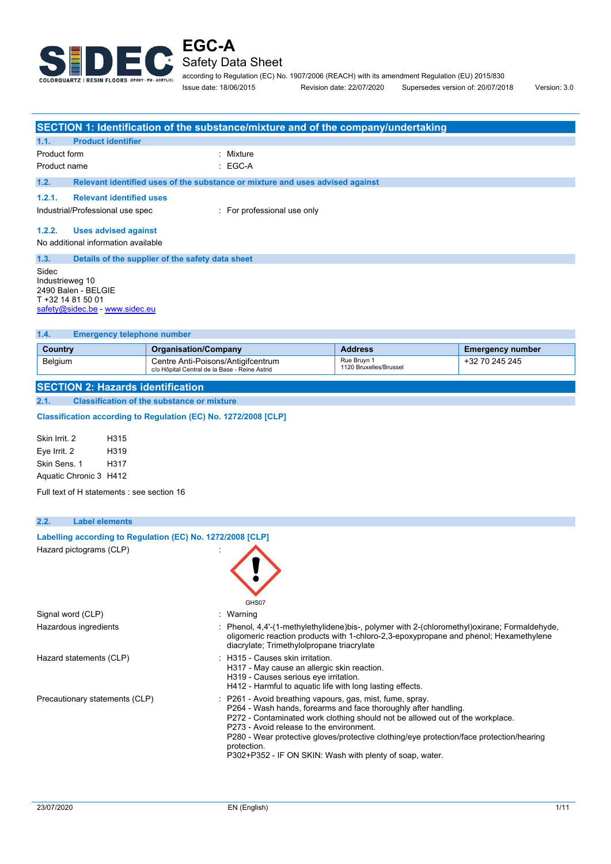

j.

according to Regulation (EC) No. 1907/2006 (REACH) with its amendment Regulation (EU) 2015/830 Issue date: 18/06/2015 Revision date: 22/07/2020 Supersedes version of: 20/07/2018 Version: 3.0

|                                                                                                                                                                                                                                                                                                                                                                                                                                                                  |                                                                    |                                                                                                                                                                                       | SECTION 1: Identification of the substance/mixture and of the company/undertaking                                                                                                                                                   |                                       |                         |
|------------------------------------------------------------------------------------------------------------------------------------------------------------------------------------------------------------------------------------------------------------------------------------------------------------------------------------------------------------------------------------------------------------------------------------------------------------------|--------------------------------------------------------------------|---------------------------------------------------------------------------------------------------------------------------------------------------------------------------------------|-------------------------------------------------------------------------------------------------------------------------------------------------------------------------------------------------------------------------------------|---------------------------------------|-------------------------|
| 1.1.                                                                                                                                                                                                                                                                                                                                                                                                                                                             | <b>Product identifier</b>                                          |                                                                                                                                                                                       |                                                                                                                                                                                                                                     |                                       |                         |
| Product form                                                                                                                                                                                                                                                                                                                                                                                                                                                     |                                                                    |                                                                                                                                                                                       | : Mixture                                                                                                                                                                                                                           |                                       |                         |
| Product name                                                                                                                                                                                                                                                                                                                                                                                                                                                     |                                                                    |                                                                                                                                                                                       | $EGC-A$                                                                                                                                                                                                                             |                                       |                         |
| 1.2.                                                                                                                                                                                                                                                                                                                                                                                                                                                             |                                                                    |                                                                                                                                                                                       | Relevant identified uses of the substance or mixture and uses advised against                                                                                                                                                       |                                       |                         |
| 1.2.1.                                                                                                                                                                                                                                                                                                                                                                                                                                                           | <b>Relevant identified uses</b>                                    |                                                                                                                                                                                       |                                                                                                                                                                                                                                     |                                       |                         |
|                                                                                                                                                                                                                                                                                                                                                                                                                                                                  | Industrial/Professional use spec                                   |                                                                                                                                                                                       | : For professional use only                                                                                                                                                                                                         |                                       |                         |
| 1.2.2.                                                                                                                                                                                                                                                                                                                                                                                                                                                           | <b>Uses advised against</b><br>No additional information available |                                                                                                                                                                                       |                                                                                                                                                                                                                                     |                                       |                         |
| 1.3.<br>Details of the supplier of the safety data sheet<br>Sidec<br>Industrieweg 10<br>2490 Balen - BELGIE<br>T +32 14 81 50 01<br>safety@sidec.be - www.sidec.eu                                                                                                                                                                                                                                                                                               |                                                                    |                                                                                                                                                                                       |                                                                                                                                                                                                                                     |                                       |                         |
| 1.4.                                                                                                                                                                                                                                                                                                                                                                                                                                                             | <b>Emergency telephone number</b>                                  |                                                                                                                                                                                       |                                                                                                                                                                                                                                     |                                       |                         |
| Country                                                                                                                                                                                                                                                                                                                                                                                                                                                          |                                                                    | <b>Organisation/Company</b>                                                                                                                                                           |                                                                                                                                                                                                                                     | <b>Address</b>                        | <b>Emergency number</b> |
| Belgium                                                                                                                                                                                                                                                                                                                                                                                                                                                          |                                                                    | Centre Anti-Poisons/Antigifcentrum<br>c/o Hôpital Central de la Base - Reine Astrid                                                                                                   |                                                                                                                                                                                                                                     | Rue Bruyn 1<br>1120 Bruxelles/Brussel | +32 70 245 245          |
|                                                                                                                                                                                                                                                                                                                                                                                                                                                                  | <b>SECTION 2: Hazards identification</b>                           |                                                                                                                                                                                       |                                                                                                                                                                                                                                     |                                       |                         |
| 2.1.                                                                                                                                                                                                                                                                                                                                                                                                                                                             |                                                                    | <b>Classification of the substance or mixture</b>                                                                                                                                     |                                                                                                                                                                                                                                     |                                       |                         |
|                                                                                                                                                                                                                                                                                                                                                                                                                                                                  | Classification according to Regulation (EC) No. 1272/2008 [CLP]    |                                                                                                                                                                                       |                                                                                                                                                                                                                                     |                                       |                         |
| H315<br>Skin Irrit. 2<br>Eye Irrit. 2<br>H319<br>Skin Sens. 1<br>H317<br>Aquatic Chronic 3 H412<br>Full text of H statements : see section 16                                                                                                                                                                                                                                                                                                                    |                                                                    |                                                                                                                                                                                       |                                                                                                                                                                                                                                     |                                       |                         |
| 2.2.                                                                                                                                                                                                                                                                                                                                                                                                                                                             | <b>Label elements</b>                                              |                                                                                                                                                                                       |                                                                                                                                                                                                                                     |                                       |                         |
| Labelling according to Regulation (EC) No. 1272/2008 [CLP]<br>Hazard pictograms (CLP)<br>GHS07                                                                                                                                                                                                                                                                                                                                                                   |                                                                    |                                                                                                                                                                                       |                                                                                                                                                                                                                                     |                                       |                         |
|                                                                                                                                                                                                                                                                                                                                                                                                                                                                  |                                                                    |                                                                                                                                                                                       | $:$ Warning                                                                                                                                                                                                                         |                                       |                         |
| Signal word (CLP)<br>Hazardous ingredients                                                                                                                                                                                                                                                                                                                                                                                                                       |                                                                    |                                                                                                                                                                                       | : Phenol, 4,4'-(1-methylethylidene)bis-, polymer with 2-(chloromethyl)oxirane; Formaldehyde,<br>oligomeric reaction products with 1-chloro-2,3-epoxypropane and phenol; Hexamethylene<br>diacrylate; Trimethylolpropane triacrylate |                                       |                         |
| Hazard statements (CLP)                                                                                                                                                                                                                                                                                                                                                                                                                                          |                                                                    | : H315 - Causes skin irritation.<br>H317 - May cause an allergic skin reaction.<br>H319 - Causes serious eye irritation.<br>H412 - Harmful to aquatic life with long lasting effects. |                                                                                                                                                                                                                                     |                                       |                         |
| Precautionary statements (CLP)<br>P261 - Avoid breathing vapours, gas, mist, fume, spray.<br>P264 - Wash hands, forearms and face thoroughly after handling.<br>P272 - Contaminated work clothing should not be allowed out of the workplace.<br>P273 - Avoid release to the environment.<br>P280 - Wear protective gloves/protective clothing/eye protection/face protection/hearing<br>protection.<br>P302+P352 - IF ON SKIN: Wash with plenty of soap, water. |                                                                    |                                                                                                                                                                                       |                                                                                                                                                                                                                                     |                                       |                         |
|                                                                                                                                                                                                                                                                                                                                                                                                                                                                  |                                                                    |                                                                                                                                                                                       |                                                                                                                                                                                                                                     |                                       |                         |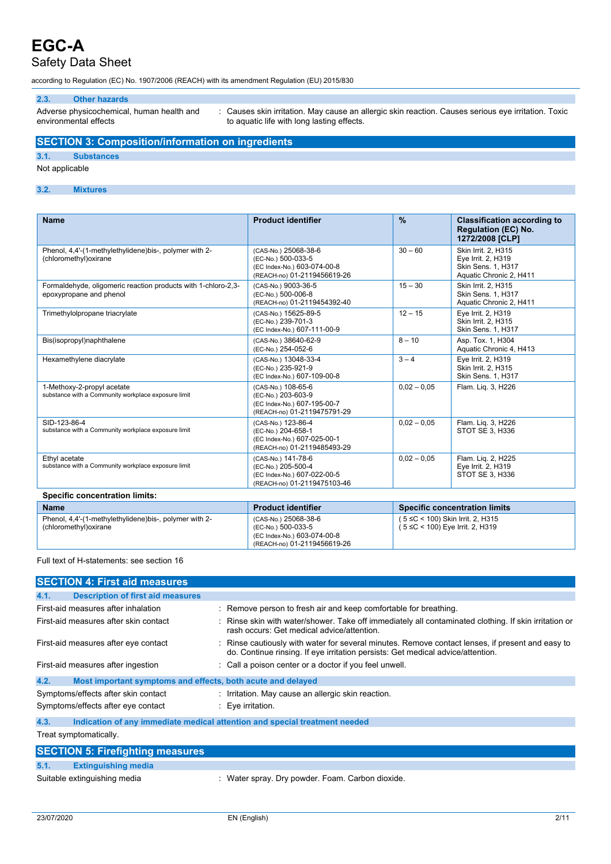## Safety Data Sheet

according to Regulation (EC) No. 1907/2006 (REACH) with its amendment Regulation (EU) 2015/830

### **2.3. Other hazards**

Adverse physicochemical, human health and environmental effects

: Causes skin irritation. May cause an allergic skin reaction. Causes serious eye irritation. Toxic to aquatic life with long lasting effects.

### **SECTION 3: Composition/information on ingredients**

### **3.1. Substances**

Not applicable

#### **3.2. Mixtures**

| <b>Name</b>                                                                              | <b>Product identifier</b>                                                                                | $\frac{9}{6}$ | <b>Classification according to</b><br><b>Regulation (EC) No.</b><br>1272/2008 [CLP]        |
|------------------------------------------------------------------------------------------|----------------------------------------------------------------------------------------------------------|---------------|--------------------------------------------------------------------------------------------|
| Phenol, 4,4'-(1-methylethylidene)bis-, polymer with 2-<br>(chloromethyl) oxirane         | (CAS-No.) 25068-38-6<br>(EC-No.) 500-033-5<br>(EC Index-No.) 603-074-00-8<br>(REACH-no) 01-2119456619-26 | $30 - 60$     | Skin Irrit. 2, H315<br>Eye Irrit. 2, H319<br>Skin Sens. 1, H317<br>Aquatic Chronic 2, H411 |
| Formaldehyde, oligomeric reaction products with 1-chloro-2,3-<br>epoxypropane and phenol | (CAS-No.) 9003-36-5<br>(EC-No.) 500-006-8<br>(REACH-no) 01-2119454392-40                                 | $15 - 30$     | Skin Irrit. 2. H315<br>Skin Sens. 1, H317<br>Aquatic Chronic 2, H411                       |
| Trimethylolpropane triacrylate                                                           | (CAS-No.) 15625-89-5<br>(EC-No.) 239-701-3<br>(EC Index-No.) 607-111-00-9                                | $12 - 15$     | Eye Irrit. 2, H319<br>Skin Irrit. 2. H315<br>Skin Sens. 1, H317                            |
| Bis(isopropyl)naphthalene                                                                | (CAS-No.) 38640-62-9<br>(EC-No.) 254-052-6                                                               | $8 - 10$      | Asp. Tox. 1, H304<br>Aquatic Chronic 4, H413                                               |
| Hexamethylene diacrylate                                                                 | (CAS-No.) 13048-33-4<br>(EC-No.) 235-921-9<br>(EC Index-No.) 607-109-00-8                                | $3 - 4$       | Eye Irrit. 2, H319<br>Skin Irrit. 2. H315<br><b>Skin Sens. 1. H317</b>                     |
| 1-Methoxy-2-propyl acetate<br>substance with a Community workplace exposure limit        | (CAS-No.) 108-65-6<br>(EC-No.) 203-603-9<br>(EC Index-No.) 607-195-00-7<br>(REACH-no) 01-2119475791-29   | $0.02 - 0.05$ | Flam. Lig. 3, H226                                                                         |
| SID-123-86-4<br>substance with a Community workplace exposure limit                      | (CAS-No.) 123-86-4<br>(EC-No.) 204-658-1<br>(EC Index-No.) 607-025-00-1<br>(REACH-no) 01-2119485493-29   | $0.02 - 0.05$ | Flam. Liq. 3, H226<br>STOT SE 3, H336                                                      |
| Ethyl acetate<br>substance with a Community workplace exposure limit                     | (CAS-No.) 141-78-6<br>(EC-No.) 205-500-4<br>(EC Index-No.) 607-022-00-5<br>(REACH-no) 01-2119475103-46   | $0.02 - 0.05$ | Flam. Liq. 2, H225<br>Eye Irrit. 2, H319<br>STOT SE 3, H336                                |
| <b>Specific concentration limits:</b>                                                    |                                                                                                          |               |                                                                                            |

| <b>Name</b>                                                                     | <b>Product identifier</b>                                                                                | <b>Specific concentration limits</b>                                           |
|---------------------------------------------------------------------------------|----------------------------------------------------------------------------------------------------------|--------------------------------------------------------------------------------|
| Phenol, 4,4'-(1-methylethylidene)bis-, polymer with 2-<br>(chloromethyl)oxirane | (CAS-No.) 25068-38-6<br>(EC-No.) 500-033-5<br>(EC Index-No.) 603-074-00-8<br>(REACH-no) 01-2119456619-26 | $(5 \leq C < 100)$ Skin Irrit. 2, H315<br>( $5 ≤ C < 100$ ) Eye Irrit. 2, H319 |

#### Full text of H-statements: see section 16

| <b>SECTION 4: First aid measures</b>                                |                                                                                                                                                                                     |
|---------------------------------------------------------------------|-------------------------------------------------------------------------------------------------------------------------------------------------------------------------------------|
| 4.1.<br><b>Description of first aid measures</b>                    |                                                                                                                                                                                     |
| First-aid measures after inhalation                                 | : Remove person to fresh air and keep comfortable for breathing.                                                                                                                    |
| First-aid measures after skin contact                               | : Rinse skin with water/shower. Take off immediately all contaminated clothing. If skin irritation or<br>rash occurs: Get medical advice/attention.                                 |
| First-aid measures after eye contact                                | : Rinse cautiously with water for several minutes. Remove contact lenses, if present and easy to<br>do. Continue rinsing. If eye irritation persists: Get medical advice/attention. |
| First-aid measures after ingestion                                  | : Call a poison center or a doctor if you feel unwell.                                                                                                                              |
| Most important symptoms and effects, both acute and delayed<br>4.2. |                                                                                                                                                                                     |
| Symptoms/effects after skin contact                                 | : Irritation. May cause an allergic skin reaction.                                                                                                                                  |
| Symptoms/effects after eye contact                                  | $\therefore$ Eye irritation.                                                                                                                                                        |
| 4.3.                                                                | Indication of any immediate medical attention and special treatment needed                                                                                                          |
| Treat symptomatically.                                              |                                                                                                                                                                                     |
| <b>SECTION 5: Firefighting measures</b>                             |                                                                                                                                                                                     |
| 5.1.<br><b>Extinguishing media</b>                                  |                                                                                                                                                                                     |
| Suitable extinguishing media                                        | : Water spray. Dry powder. Foam. Carbon dioxide.                                                                                                                                    |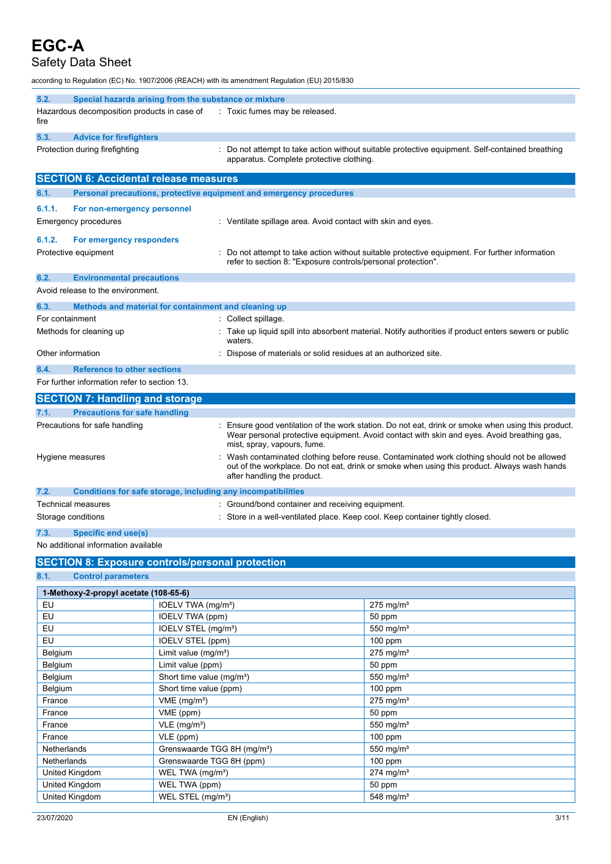### Safety Data Sheet

according to Regulation (EC) No. 1907/2006 (REACH) with its amendment Regulation (EU) 2015/830

| 5.2.                      | Special hazards arising from the substance or mixture               |                                                                                                                                                                                                                               |
|---------------------------|---------------------------------------------------------------------|-------------------------------------------------------------------------------------------------------------------------------------------------------------------------------------------------------------------------------|
| fire                      | Hazardous decomposition products in case of                         | : Toxic fumes may be released.                                                                                                                                                                                                |
| 5.3.                      | <b>Advice for firefighters</b>                                      |                                                                                                                                                                                                                               |
|                           | Protection during firefighting                                      | : Do not attempt to take action without suitable protective equipment. Self-contained breathing<br>apparatus. Complete protective clothing.                                                                                   |
|                           | <b>SECTION 6: Accidental release measures</b>                       |                                                                                                                                                                                                                               |
| 6.1.                      | Personal precautions, protective equipment and emergency procedures |                                                                                                                                                                                                                               |
| 6.1.1.                    | For non-emergency personnel                                         |                                                                                                                                                                                                                               |
|                           | <b>Emergency procedures</b>                                         | : Ventilate spillage area. Avoid contact with skin and eyes.                                                                                                                                                                  |
| 6.1.2.                    | For emergency responders                                            |                                                                                                                                                                                                                               |
|                           | Protective equipment                                                | Do not attempt to take action without suitable protective equipment. For further information<br>refer to section 8: "Exposure controls/personal protection".                                                                  |
| 6.2.                      | <b>Environmental precautions</b>                                    |                                                                                                                                                                                                                               |
|                           | Avoid release to the environment.                                   |                                                                                                                                                                                                                               |
| 6.3.                      | Methods and material for containment and cleaning up                |                                                                                                                                                                                                                               |
|                           | For containment                                                     | : Collect spillage.                                                                                                                                                                                                           |
| Methods for cleaning up   |                                                                     | Take up liquid spill into absorbent material. Notify authorities if product enters sewers or public<br>waters.                                                                                                                |
|                           | Other information                                                   | Dispose of materials or solid residues at an authorized site.                                                                                                                                                                 |
| 6.4.                      | <b>Reference to other sections</b>                                  |                                                                                                                                                                                                                               |
|                           | For further information refer to section 13.                        |                                                                                                                                                                                                                               |
|                           | <b>SECTION 7: Handling and storage</b>                              |                                                                                                                                                                                                                               |
| 7.1.                      | <b>Precautions for safe handling</b>                                |                                                                                                                                                                                                                               |
|                           | Precautions for safe handling                                       | Ensure good ventilation of the work station. Do not eat, drink or smoke when using this product.<br>Wear personal protective equipment. Avoid contact with skin and eyes. Avoid breathing gas,<br>mist, spray, vapours, fume. |
| Hygiene measures          |                                                                     | Wash contaminated clothing before reuse. Contaminated work clothing should not be allowed<br>out of the workplace. Do not eat, drink or smoke when using this product. Always wash hands<br>after handling the product.       |
| 7.2.                      | Conditions for safe storage, including any incompatibilities        |                                                                                                                                                                                                                               |
| <b>Technical measures</b> |                                                                     | Ground/bond container and receiving equipment.                                                                                                                                                                                |
|                           | Storage conditions                                                  | Store in a well-ventilated place. Keep cool. Keep container tightly closed.                                                                                                                                                   |
| 7.3.                      | Specific end use(s)                                                 |                                                                                                                                                                                                                               |

No additional information available

### **SECTION 8: Exposure controls/personal protection**

**8.1. Control parameters**

| 1-Methoxy-2-propyl acetate (108-65-6) |                                         |                         |  |  |
|---------------------------------------|-----------------------------------------|-------------------------|--|--|
| EU                                    | IOELV TWA (mg/m <sup>3</sup> )          | $275$ mg/m <sup>3</sup> |  |  |
| EU                                    | IOELV TWA (ppm)                         | 50 ppm                  |  |  |
| EU                                    | IOELV STEL (mg/m <sup>3</sup> )         | 550 mg/m <sup>3</sup>   |  |  |
| EU                                    | IOELV STEL (ppm)                        | 100 ppm                 |  |  |
| Belgium                               | Limit value (mg/m <sup>3</sup> )        | $275$ mg/m <sup>3</sup> |  |  |
| Belgium                               | Limit value (ppm)                       | 50 ppm                  |  |  |
| Belgium                               | Short time value (mg/m <sup>3</sup> )   | 550 mg/ $m3$            |  |  |
| Belgium                               | Short time value (ppm)                  | $100$ ppm               |  |  |
| France                                | VME (mg/m <sup>3</sup> )                | $275$ mg/m <sup>3</sup> |  |  |
| France                                | VME (ppm)                               | 50 ppm                  |  |  |
| France                                | $VLE$ (mg/m <sup>3</sup> )              | 550 mg/ $m3$            |  |  |
| France                                | VLE (ppm)                               | $100$ ppm               |  |  |
| <b>Netherlands</b>                    | Grenswaarde TGG 8H (mg/m <sup>3</sup> ) | 550 mg/ $m3$            |  |  |
| <b>Netherlands</b>                    | Grenswaarde TGG 8H (ppm)                | 100 ppm                 |  |  |
| United Kingdom                        | WEL TWA (mg/m <sup>3</sup> )            | $274$ mg/m <sup>3</sup> |  |  |
| United Kingdom                        | WEL TWA (ppm)                           | 50 ppm                  |  |  |
| United Kingdom                        | WEL STEL (mg/m <sup>3</sup> )           | 548 mg/m <sup>3</sup>   |  |  |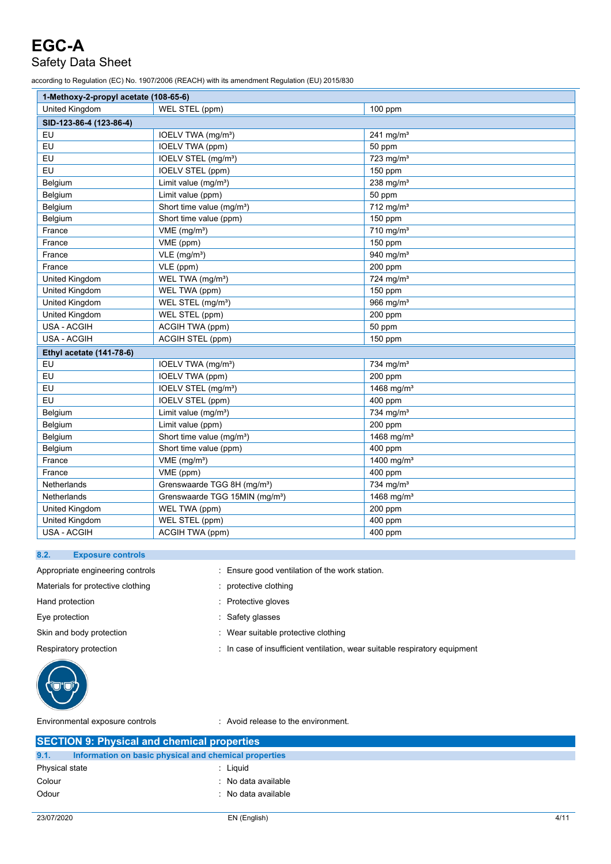## Safety Data Sheet

according to Regulation (EC) No. 1907/2006 (REACH) with its amendment Regulation (EU) 2015/830

| 1-Methoxy-2-propyl acetate (108-65-6) |                                            |                         |  |  |  |
|---------------------------------------|--------------------------------------------|-------------------------|--|--|--|
| <b>United Kingdom</b>                 | WEL STEL (ppm)                             | 100 ppm                 |  |  |  |
| SID-123-86-4 (123-86-4)               |                                            |                         |  |  |  |
| EU                                    | IOELV TWA (mg/m <sup>3</sup> )             | 241 mg/m <sup>3</sup>   |  |  |  |
| EU                                    | IOELV TWA (ppm)                            | 50 ppm                  |  |  |  |
| EU                                    | IOELV STEL (mg/m <sup>3</sup> )            | $723$ mg/m <sup>3</sup> |  |  |  |
| EU                                    | <b>IOELV STEL (ppm)</b>                    | 150 ppm                 |  |  |  |
| Belgium                               | Limit value $(mg/m3)$                      | 238 mg/ $m3$            |  |  |  |
| Belgium                               | Limit value (ppm)                          | 50 ppm                  |  |  |  |
| Belgium                               | Short time value (mg/m <sup>3</sup> )      | $712$ mg/m <sup>3</sup> |  |  |  |
| Belgium                               | Short time value (ppm)                     | $150$ ppm               |  |  |  |
| France                                | $VME$ (mg/m <sup>3</sup> )                 | $710$ mg/m <sup>3</sup> |  |  |  |
| France                                | VME (ppm)                                  | 150 ppm                 |  |  |  |
| France                                | $VLE$ (mg/m <sup>3</sup> )                 | 940 mg/m <sup>3</sup>   |  |  |  |
| France                                | VLE (ppm)                                  | 200 ppm                 |  |  |  |
| United Kingdom                        | WEL TWA (mg/m <sup>3</sup> )               | 724 mg/m <sup>3</sup>   |  |  |  |
| United Kingdom                        | WEL TWA (ppm)                              | $150$ ppm               |  |  |  |
| United Kingdom                        | WEL STEL (mg/m <sup>3</sup> )              | 966 mg/ $m3$            |  |  |  |
| United Kingdom                        | WEL STEL (ppm)                             | 200 ppm                 |  |  |  |
| USA - ACGIH                           | ACGIH TWA (ppm)                            | 50 ppm                  |  |  |  |
| USA - ACGIH                           | ACGIH STEL (ppm)                           | 150 ppm                 |  |  |  |
| Ethyl acetate (141-78-6)              |                                            |                         |  |  |  |
| EU                                    | IOELV TWA (mg/m <sup>3</sup> )             | 734 mg/m <sup>3</sup>   |  |  |  |
| EU                                    | <b>IOELV TWA (ppm)</b>                     | 200 ppm                 |  |  |  |
| EU                                    | IOELV STEL (mg/m <sup>3</sup> )            | 1468 mg/m <sup>3</sup>  |  |  |  |
| EU                                    | <b>IOELV STEL (ppm)</b>                    | 400 ppm                 |  |  |  |
| Belgium                               | Limit value (mg/m <sup>3</sup> )           | 734 mg/m <sup>3</sup>   |  |  |  |
| Belgium                               | Limit value (ppm)                          | 200 ppm                 |  |  |  |
| Belgium                               | Short time value (mg/m <sup>3</sup> )      | 1468 mg/m <sup>3</sup>  |  |  |  |
| Belgium                               | Short time value (ppm)                     | 400 ppm                 |  |  |  |
| France                                | $VME$ (mg/m <sup>3</sup> )                 | 1400 mg/m <sup>3</sup>  |  |  |  |
| France                                | VME (ppm)                                  | 400 ppm                 |  |  |  |
| Netherlands                           | Grenswaarde TGG 8H (mg/m <sup>3</sup> )    | 734 mg/m <sup>3</sup>   |  |  |  |
| Netherlands                           | Grenswaarde TGG 15MIN (mg/m <sup>3</sup> ) | 1468 mg/ $m3$           |  |  |  |
| United Kingdom                        | WEL TWA (ppm)                              | 200 ppm                 |  |  |  |
| <b>United Kingdom</b>                 | WEL STEL (ppm)                             | 400 ppm                 |  |  |  |
| USA - ACGIH                           | ACGIH TWA (ppm)                            | 400 ppm                 |  |  |  |

#### **8.2. Exposure controls**

Materials for protective clothing in the settlement of the protective clothing Hand protection **in the contract of the Contract Contract Contract Contract Contract Contract Contract Contract Contract Contract Contract Contract Contract Contract Contract Contract Contract Contract Contract Contract Co** Eye protection **in the contract of the CO** contract to the Safety glasses Skin and body protection **in the suitable protective clothing**  $\cdot$  Wear suitable protective clothing

Appropriate engineering controls : Ensure good ventilation of the work station.

- 
- 
- 
- 

Respiratory protection : In case of insufficient ventilation, wear suitable respiratory equipment

Environmental exposure controls : Avoid release to the environment.

| <b>SECTION 9: Physical and chemical properties</b>            |                     |  |
|---------------------------------------------------------------|---------------------|--|
| 9.1.<br>Information on basic physical and chemical properties |                     |  |
| Physical state                                                | Liguid              |  |
| Colour                                                        | : No data available |  |
| Odour                                                         | : No data available |  |
|                                                               |                     |  |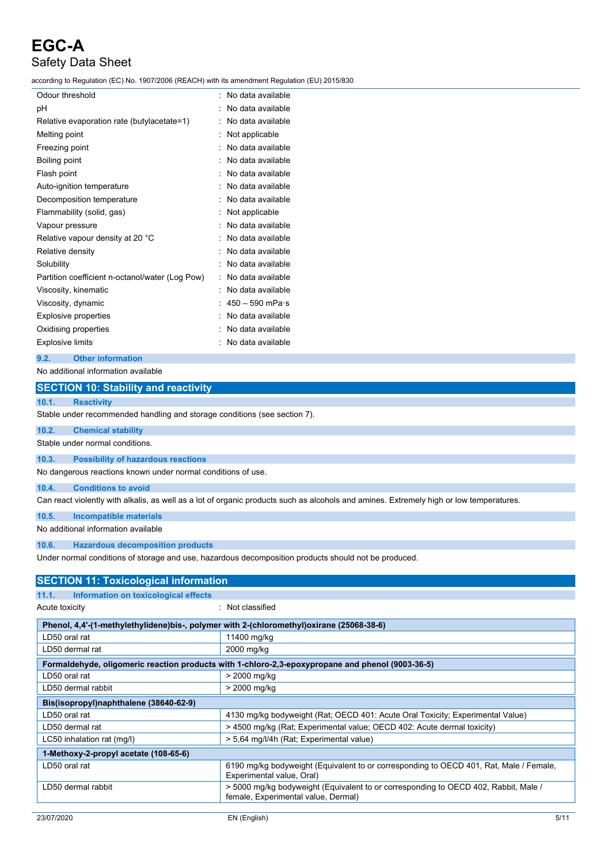according to Regulation (EC) No. 1907/2006 (REACH) with its amendment Regulation (EU) 2015/830

| Odour threshold                                 | ۰ | No data available         |
|-------------------------------------------------|---|---------------------------|
| рH                                              |   | No data available         |
| Relative evaporation rate (butylacetate=1)      |   | No data available         |
| Melting point                                   |   | Not applicable            |
| Freezing point                                  |   | No data available         |
| Boiling point                                   |   | No data available         |
| Flash point                                     |   | No data available         |
| Auto-ignition temperature                       |   | No data available         |
| Decomposition temperature                       |   | No data available         |
| Flammability (solid, gas)                       |   | Not applicable            |
| Vapour pressure                                 |   | No data available         |
| Relative vapour density at 20 °C                |   | No data available         |
| Relative density                                |   | No data available         |
| Solubility                                      |   | No data available         |
| Partition coefficient n-octanol/water (Log Pow) |   | No data available         |
| Viscosity, kinematic                            |   | No data available         |
| Viscosity, dynamic                              |   | $450 - 590$ mPa $\cdot$ s |
| <b>Explosive properties</b>                     |   | No data available         |
| Oxidising properties                            |   | No data available         |
| <b>Explosive limits</b>                         |   | No data available         |

### **9.2. Other information**

No additional information available

| <b>SECTION 10: Stability and reactivity</b>                                                                                             |  |  |  |  |
|-----------------------------------------------------------------------------------------------------------------------------------------|--|--|--|--|
| 10.1.<br><b>Reactivity</b>                                                                                                              |  |  |  |  |
| Stable under recommended handling and storage conditions (see section 7).                                                               |  |  |  |  |
| <b>Chemical stability</b><br>10.2.                                                                                                      |  |  |  |  |
| Stable under normal conditions                                                                                                          |  |  |  |  |
| <b>Possibility of hazardous reactions</b><br>10.3.                                                                                      |  |  |  |  |
| No dangerous reactions known under normal conditions of use.                                                                            |  |  |  |  |
| <b>Conditions to avoid</b><br>10.4.                                                                                                     |  |  |  |  |
| Can react violently with alkalis, as well as a lot of organic products such as alcohols and amines. Extremely high or low temperatures. |  |  |  |  |
| 10.5.<br><b>Incompatible materials</b>                                                                                                  |  |  |  |  |
| No additional information available                                                                                                     |  |  |  |  |

### **10.6. Hazardous decomposition products**

Under normal conditions of storage and use, hazardous decomposition products should not be produced.

| <b>SECTION 11: Toxicological information</b>                                             |                                                                                                                            |      |  |  |
|------------------------------------------------------------------------------------------|----------------------------------------------------------------------------------------------------------------------------|------|--|--|
| 11.1.<br>Information on toxicological effects                                            |                                                                                                                            |      |  |  |
| Acute toxicity                                                                           | : Not classified                                                                                                           |      |  |  |
| Phenol, 4,4'-(1-methylethylidene)bis-, polymer with 2-(chloromethyl)oxirane (25068-38-6) |                                                                                                                            |      |  |  |
| LD50 oral rat                                                                            | 11400 mg/kg                                                                                                                |      |  |  |
| LD50 dermal rat                                                                          | 2000 mg/kg                                                                                                                 |      |  |  |
|                                                                                          | Formaldehyde, oligomeric reaction products with 1-chloro-2,3-epoxypropane and phenol (9003-36-5)                           |      |  |  |
| LD50 oral rat                                                                            | > 2000 mg/kg                                                                                                               |      |  |  |
| LD50 dermal rabbit                                                                       | > 2000 mg/kg                                                                                                               |      |  |  |
| Bis(isopropyl)naphthalene (38640-62-9)                                                   |                                                                                                                            |      |  |  |
| LD50 oral rat                                                                            | 4130 mg/kg bodyweight (Rat; OECD 401: Acute Oral Toxicity; Experimental Value)                                             |      |  |  |
| LD50 dermal rat                                                                          | > 4500 mg/kg (Rat; Experimental value; OECD 402: Acute dermal toxicity)                                                    |      |  |  |
| LC50 inhalation rat (mg/l)                                                               | > 5,64 mg/l/4h (Rat; Experimental value)                                                                                   |      |  |  |
| 1-Methoxy-2-propyl acetate (108-65-6)                                                    |                                                                                                                            |      |  |  |
| LD50 oral rat                                                                            | 6190 mg/kg bodyweight (Equivalent to or corresponding to OECD 401, Rat, Male / Female,<br>Experimental value, Oral)        |      |  |  |
| LD50 dermal rabbit                                                                       | > 5000 mg/kg bodyweight (Equivalent to or corresponding to OECD 402, Rabbit, Male /<br>female, Experimental value, Dermal) |      |  |  |
|                                                                                          |                                                                                                                            |      |  |  |
| 23/07/2020                                                                               | EN (English)                                                                                                               | 5/11 |  |  |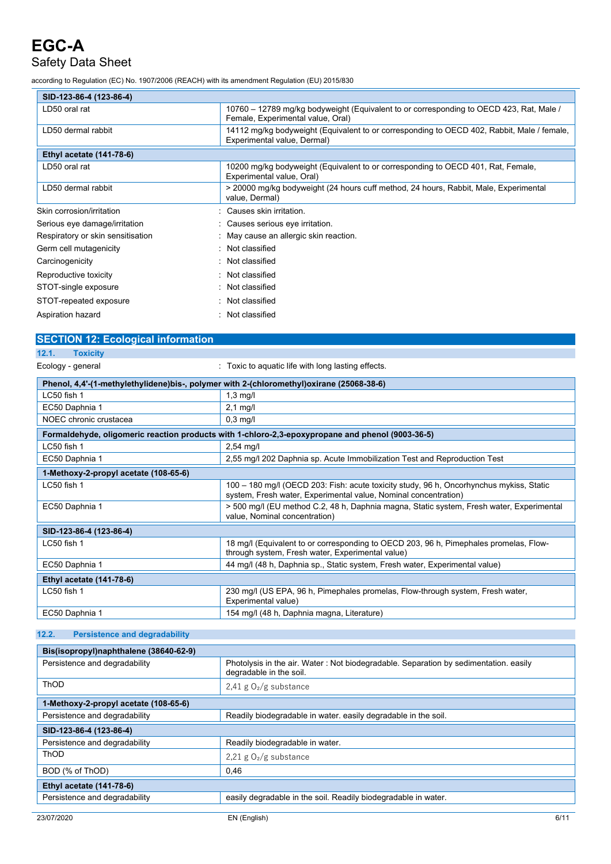## Safety Data Sheet

according to Regulation (EC) No. 1907/2006 (REACH) with its amendment Regulation (EU) 2015/830

| SID-123-86-4 (123-86-4)           |                                                                                                                              |  |
|-----------------------------------|------------------------------------------------------------------------------------------------------------------------------|--|
| LD50 oral rat                     | 10760 - 12789 mg/kg bodyweight (Equivalent to or corresponding to OECD 423, Rat, Male /<br>Female, Experimental value, Oral) |  |
| LD50 dermal rabbit                | 14112 mg/kg bodyweight (Equivalent to or corresponding to OECD 402, Rabbit, Male / female,<br>Experimental value, Dermal)    |  |
| <b>Ethyl acetate (141-78-6)</b>   |                                                                                                                              |  |
| LD50 oral rat                     | 10200 mg/kg bodyweight (Equivalent to or corresponding to OECD 401, Rat, Female,<br>Experimental value, Oral)                |  |
| LD50 dermal rabbit                | > 20000 mg/kg bodyweight (24 hours cuff method, 24 hours, Rabbit, Male, Experimental<br>value, Dermal)                       |  |
| Skin corrosion/irritation         | Causes skin irritation.                                                                                                      |  |
| Serious eye damage/irritation     | : Causes serious eye irritation.                                                                                             |  |
| Respiratory or skin sensitisation | May cause an allergic skin reaction.                                                                                         |  |
| Germ cell mutagenicity            | Not classified                                                                                                               |  |
| Carcinogenicity                   | Not classified                                                                                                               |  |
| Reproductive toxicity             | : Not classified                                                                                                             |  |
| STOT-single exposure              | : Not classified                                                                                                             |  |
| STOT-repeated exposure            | : Not classified                                                                                                             |  |
| Aspiration hazard                 | : Not classified                                                                                                             |  |

## **SECTION 12: Ecological information**

| n<br>r, |
|---------|
|         |

Ecology - general **Example 20** and  $\overline{a}$  : Toxic to aquatic life with long lasting effects.

| Phenol, 4,4'-(1-methylethylidene)bis-, polymer with 2-(chloromethyl)oxirane (25068-38-6) |                                                                                                                                                            |  |
|------------------------------------------------------------------------------------------|------------------------------------------------------------------------------------------------------------------------------------------------------------|--|
| LC50 fish 1                                                                              | $1,3$ mg/l                                                                                                                                                 |  |
| EC50 Daphnia 1                                                                           | $2.1$ mg/l                                                                                                                                                 |  |
| NOEC chronic crustacea                                                                   | $0,3$ mg/l                                                                                                                                                 |  |
|                                                                                          | Formaldehyde, oligomeric reaction products with 1-chloro-2,3-epoxypropane and phenol (9003-36-5)                                                           |  |
| LC50 fish 1                                                                              | $2,54$ mg/l                                                                                                                                                |  |
| EC50 Daphnia 1                                                                           | 2,55 mg/l 202 Daphnia sp. Acute Immobilization Test and Reproduction Test                                                                                  |  |
| 1-Methoxy-2-propyl acetate (108-65-6)                                                    |                                                                                                                                                            |  |
| LC50 fish 1                                                                              | 100 - 180 mg/l (OECD 203: Fish: acute toxicity study, 96 h, Oncorhynchus mykiss, Static<br>system, Fresh water, Experimental value, Nominal concentration) |  |
| EC50 Daphnia 1                                                                           | > 500 mg/l (EU method C.2, 48 h, Daphnia magna, Static system, Fresh water, Experimental<br>value, Nominal concentration)                                  |  |
| SID-123-86-4 (123-86-4)                                                                  |                                                                                                                                                            |  |
| LC50 fish 1                                                                              | 18 mg/l (Equivalent to or corresponding to OECD 203, 96 h, Pimephales promelas, Flow-<br>through system, Fresh water, Experimental value)                  |  |
| EC50 Daphnia 1                                                                           | 44 mg/l (48 h, Daphnia sp., Static system, Fresh water, Experimental value)                                                                                |  |
| <b>Ethyl acetate (141-78-6)</b>                                                          |                                                                                                                                                            |  |
| LC50 fish 1                                                                              | 230 mg/l (US EPA, 96 h, Pimephales promelas, Flow-through system, Fresh water,<br>Experimental value)                                                      |  |
| EC50 Daphnia 1                                                                           | 154 mg/l (48 h, Daphnia magna, Literature)                                                                                                                 |  |

### **12.2. Persistence and degradability**

| Bis(isopropyl)naphthalene (38640-62-9) |                                                                                                                 |  |
|----------------------------------------|-----------------------------------------------------------------------------------------------------------------|--|
| Persistence and degradability          | Photolysis in the air. Water: Not biodegradable. Separation by sedimentation. easily<br>degradable in the soil. |  |
| <b>ThOD</b>                            | 2,41 g $O_2/g$ substance                                                                                        |  |
| 1-Methoxy-2-propyl acetate (108-65-6)  |                                                                                                                 |  |
| Persistence and degradability          | Readily biodegradable in water, easily degradable in the soil.                                                  |  |
| SID-123-86-4 (123-86-4)                |                                                                                                                 |  |
| Persistence and degradability          | Readily biodegradable in water.                                                                                 |  |
| ThOD                                   | 2,21 g $O_2/g$ substance                                                                                        |  |
| BOD (% of ThOD)                        | 0,46                                                                                                            |  |
| Ethyl acetate (141-78-6)               |                                                                                                                 |  |
| Persistence and degradability          | easily degradable in the soil. Readily biodegradable in water.                                                  |  |
|                                        |                                                                                                                 |  |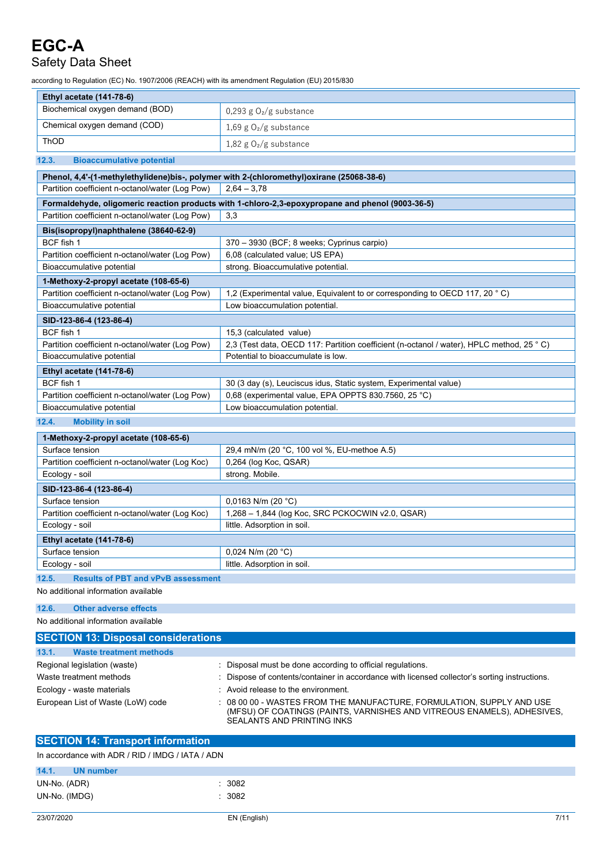## Safety Data Sheet

according to Regulation (EC) No. 1907/2006 (REACH) with its amendment Regulation (EU) 2015/830

| <b>Ethyl acetate (141-78-6)</b>                                                          |                                                                                                  |
|------------------------------------------------------------------------------------------|--------------------------------------------------------------------------------------------------|
| Biochemical oxygen demand (BOD)                                                          | 0,293 g $O2/g$ substance                                                                         |
| Chemical oxygen demand (COD)                                                             | 1,69 g $O_2/g$ substance                                                                         |
| <b>ThOD</b>                                                                              | 1,82 g $O_2/g$ substance                                                                         |
| 12.3.<br><b>Bioaccumulative potential</b>                                                |                                                                                                  |
| Phenol, 4,4'-(1-methylethylidene)bis-, polymer with 2-(chloromethyl)oxirane (25068-38-6) |                                                                                                  |
| Partition coefficient n-octanol/water (Log Pow)                                          | $2,64 - 3,78$                                                                                    |
|                                                                                          | Formaldehyde, oligomeric reaction products with 1-chloro-2,3-epoxypropane and phenol (9003-36-5) |
| Partition coefficient n-octanol/water (Log Pow)                                          | 3,3                                                                                              |
| Bis(isopropyl)naphthalene (38640-62-9)                                                   |                                                                                                  |
| BCF fish 1                                                                               | 370 - 3930 (BCF; 8 weeks; Cyprinus carpio)                                                       |
| Partition coefficient n-octanol/water (Log Pow)                                          | 6,08 (calculated value; US EPA)                                                                  |
| Bioaccumulative potential                                                                | strong. Bioaccumulative potential.                                                               |
| 1-Methoxy-2-propyl acetate (108-65-6)                                                    |                                                                                                  |
| Partition coefficient n-octanol/water (Log Pow)                                          | 1,2 (Experimental value, Equivalent to or corresponding to OECD 117, 20 °C)                      |
| Bioaccumulative potential                                                                | Low bioaccumulation potential.                                                                   |
| SID-123-86-4 (123-86-4)                                                                  |                                                                                                  |
| BCF fish 1                                                                               | 15,3 (calculated value)                                                                          |
| Partition coefficient n-octanol/water (Log Pow)                                          | 2,3 (Test data, OECD 117: Partition coefficient (n-octanol / water), HPLC method, 25 °C)         |
| Bioaccumulative potential                                                                | Potential to bioaccumulate is low.                                                               |
| Ethyl acetate (141-78-6)                                                                 |                                                                                                  |
| BCF fish 1                                                                               | 30 (3 day (s), Leuciscus idus, Static system, Experimental value)                                |
| Partition coefficient n-octanol/water (Log Pow)                                          | 0,68 (experimental value, EPA OPPTS 830.7560, 25 °C)                                             |
| Bioaccumulative potential                                                                | Low bioaccumulation potential.                                                                   |
| 12.4.<br><b>Mobility in soil</b>                                                         |                                                                                                  |
| 1-Methoxy-2-propyl acetate (108-65-6)                                                    |                                                                                                  |
| Surface tension                                                                          | 29,4 mN/m (20 °C, 100 vol %, EU-methoe A.5)                                                      |
| Partition coefficient n-octanol/water (Log Koc)                                          | 0,264 (log Koc, QSAR)                                                                            |
| Ecology - soil                                                                           | strong. Mobile.                                                                                  |
| SID-123-86-4 (123-86-4)                                                                  |                                                                                                  |
| Surface tension                                                                          | $0,0163$ N/m (20 °C)                                                                             |
| Partition coefficient n-octanol/water (Log Koc)                                          | 1,268 - 1,844 (log Koc, SRC PCKOCWIN v2.0, QSAR)                                                 |
| Ecology - soil                                                                           | little. Adsorption in soil.                                                                      |
| <b>Ethyl acetate (141-78-6)</b>                                                          |                                                                                                  |
| Surface tension                                                                          | $0,024$ N/m (20 °C)                                                                              |
| Ecology - soil                                                                           | little. Adsorption in soil.                                                                      |

**12.5. Results of PBT and vPvB assessment** No additional information available

## **12.6. Other adverse effects**

No additional information available

| <b>SECTION 13: Disposal considerations</b> |                                                                                                                                                                                |
|--------------------------------------------|--------------------------------------------------------------------------------------------------------------------------------------------------------------------------------|
|                                            |                                                                                                                                                                                |
| 13.1.<br><b>Waste treatment methods</b>    |                                                                                                                                                                                |
| Regional legislation (waste)               | : Disposal must be done according to official regulations.                                                                                                                     |
| Waste treatment methods                    | : Dispose of contents/container in accordance with licensed collector's sorting instructions.                                                                                  |
| Ecology - waste materials                  | Avoid release to the environment.                                                                                                                                              |
| European List of Waste (LoW) code          | : 08 00 00 - WASTES FROM THE MANUFACTURE, FORMULATION, SUPPLY AND USE<br>(MFSU) OF COATINGS (PAINTS, VARNISHES AND VITREOUS ENAMELS), ADHESIVES,<br>SEALANTS AND PRINTING INKS |

| <b>SECTION 14: Transport information</b>         |        |
|--------------------------------------------------|--------|
| In accordance with ADR / RID / IMDG / IATA / ADN |        |
| 14.1.<br>UN number                               |        |
| UN-No. (ADR)                                     | : 3082 |
| UN-No. (IMDG)                                    | : 3082 |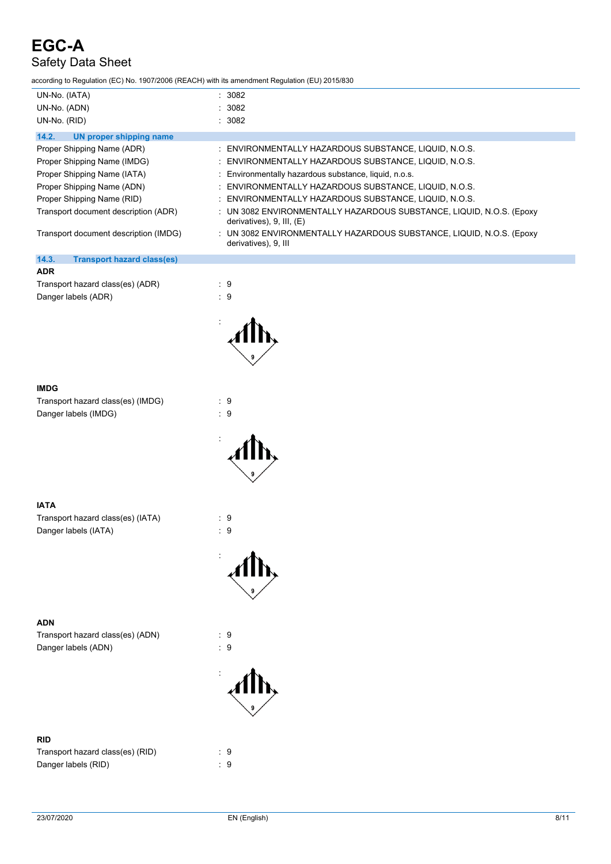according to Regulation (EC) No. 1907/2006 (REACH) with its amendment Regulation (EU) 2015/830

| iccording to Regulation (EC) NO. 1907/2006 (REACH) With its amendment Regulation (EU) 2013/630 |                                                                                                      |
|------------------------------------------------------------------------------------------------|------------------------------------------------------------------------------------------------------|
| UN-No. (IATA)                                                                                  | 3082                                                                                                 |
| UN-No. (ADN)                                                                                   | 3082                                                                                                 |
| UN-No. (RID)                                                                                   | 3082                                                                                                 |
| 14.2.<br><b>UN proper shipping name</b>                                                        |                                                                                                      |
| Proper Shipping Name (ADR)                                                                     | ENVIRONMENTALLY HAZARDOUS SUBSTANCE, LIQUID, N.O.S.                                                  |
| Proper Shipping Name (IMDG)                                                                    | ENVIRONMENTALLY HAZARDOUS SUBSTANCE, LIQUID, N.O.S.                                                  |
| Proper Shipping Name (IATA)                                                                    | Environmentally hazardous substance, liquid, n.o.s.                                                  |
| Proper Shipping Name (ADN)                                                                     | ENVIRONMENTALLY HAZARDOUS SUBSTANCE, LIQUID, N.O.S.                                                  |
| Proper Shipping Name (RID)                                                                     | ENVIRONMENTALLY HAZARDOUS SUBSTANCE, LIQUID, N.O.S.                                                  |
| Transport document description (ADR)                                                           | UN 3082 ENVIRONMENTALLY HAZARDOUS SUBSTANCE, LIQUID, N.O.S. (Epoxy<br>derivatives), $9$ , III, $(E)$ |
| Transport document description (IMDG)                                                          | UN 3082 ENVIRONMENTALLY HAZARDOUS SUBSTANCE, LIQUID, N.O.S. (Epoxy<br>derivatives), 9, III           |
| 14.3.<br><b>Transport hazard class(es)</b>                                                     |                                                                                                      |
| <b>ADR</b>                                                                                     |                                                                                                      |
| Transport hazard class(es) (ADR)                                                               | $\cdot$ 9                                                                                            |
| Danger labels (ADR)                                                                            | $\therefore$ 9                                                                                       |
|                                                                                                |                                                                                                      |
| <b>IMDG</b>                                                                                    |                                                                                                      |

| יטוווו                            |     |
|-----------------------------------|-----|
| Transport hazard class(es) (IMDG) | : 9 |
| Danger labels (IMDG)              | . 9 |

| $\mathcal{A}$ |
|---------------|

:

:

### **IATA**

Transport hazard class(es) (IATA) : 9 Danger labels (IATA) 32 and 20 and 20 and 20 and 20 and 20 and 20 and 20 and 20 and 20 and 20 and 20 and 20 and 20 and 20 and 20 and 20 and 20 and 20 and 20 and 20 and 20 and 20 and 20 and 20 and 20 and 20 and 20 and 20 an

### **ADN**

Transport hazard class(es) (ADN) : 9 Danger labels (ADN)  $\qquad \qquad$  : 9

### **RID**

| Transport hazard class(es) (RID) | : 9 |  |
|----------------------------------|-----|--|
| Danger labels (RID)              | : 9 |  |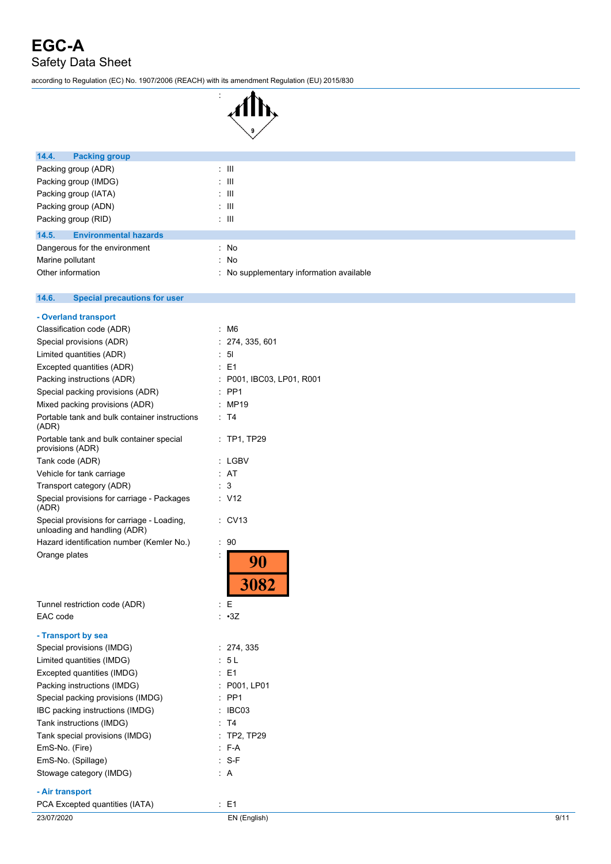according to Regulation (EC) No. 1907/2006 (REACH) with its amendment Regulation (EU) 2015/830

:



| 14.4.<br><b>Packing group</b>                |                                        |
|----------------------------------------------|----------------------------------------|
| Packing group (ADR)                          | $\pm$ 111                              |
| Packing group (IMDG)                         | $\pm$ 111                              |
| Packing group (IATA)                         | $\pm$ 111                              |
| Packing group (ADN)                          | $\pm$ 111                              |
| Packing group (RID)                          | $\pm$ 111                              |
| <b>Environmental hazards</b><br>14.5.        |                                        |
| Dangerous for the environment                | : No                                   |
| Marine pollutant                             | : No                                   |
| Other information                            | No supplementary information available |
|                                              |                                        |
| 14.6.<br><b>Special precautions for user</b> |                                        |
| - Overland transport                         |                                        |
| Classification code (ADR)                    | $\cdot$ M <sub>6</sub>                 |

| ÷  | 274, 335, 601<br>5 <sub>l</sub> |
|----|---------------------------------|
|    |                                 |
|    |                                 |
|    | : E1                            |
| ÷  | P001, IBC03, LP01, R001         |
|    | PP <sub>1</sub>                 |
|    | MP19                            |
| ÷  | T <sub>4</sub>                  |
|    | $\therefore$ TP1, TP29          |
|    | LGBV                            |
| t  | AT                              |
|    | 3                               |
|    | : V12                           |
|    | <b>CV13</b>                     |
| t  | 90                              |
| İ  | 3082                            |
| t. | Ε                               |
|    | : 3Z                            |
|    |                                 |
|    | : 274, 335                      |
| ÷. | 5 L                             |
|    | $E = 1$                         |
|    | P001, LP01                      |
|    | PP <sub>1</sub>                 |
|    | IBC03                           |
|    | T4                              |
|    | <b>TP2, TP29</b>                |
|    | $E - A$                         |
|    | S-F                             |
|    |                                 |
|    | : A                             |
|    |                                 |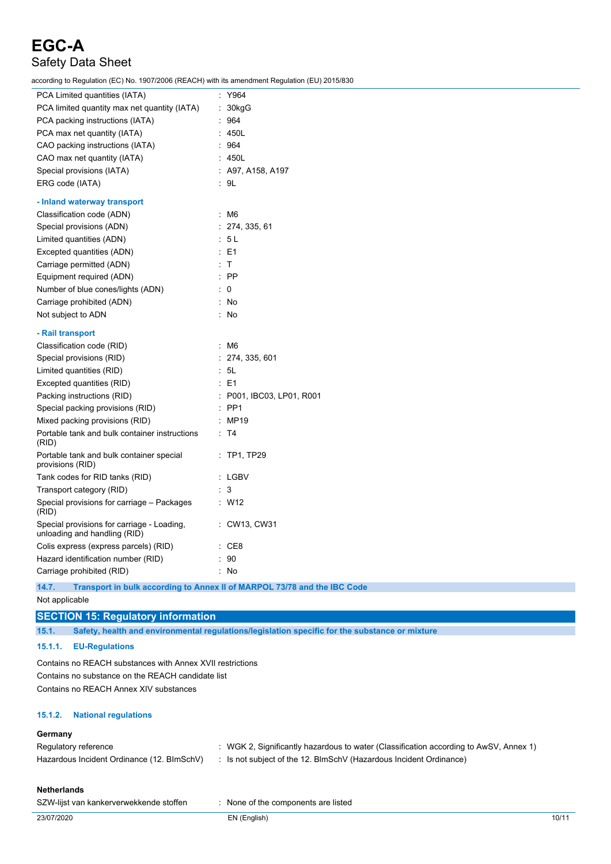according to Regulation (EC) No. 1907/2006 (REACH) with its amendment Regulation (EU) 2015/830

| ,__,                                                                       |                                                                          |
|----------------------------------------------------------------------------|--------------------------------------------------------------------------|
| PCA Limited quantities (IATA)                                              | : Y964                                                                   |
| PCA limited quantity max net quantity (IATA)                               | : 30kgG                                                                  |
| PCA packing instructions (IATA)                                            | : 964                                                                    |
| PCA max net quantity (IATA)                                                | : 450L                                                                   |
| CAO packing instructions (IATA)                                            | : 964                                                                    |
| CAO max net quantity (IATA)                                                | : 450L                                                                   |
| Special provisions (IATA)                                                  | : A97, A158, A197                                                        |
| ERG code (IATA)                                                            | ∴ 9L                                                                     |
| - Inland waterway transport                                                |                                                                          |
| Classification code (ADN)                                                  | $~\cdot~$ M6                                                             |
| Special provisions (ADN)                                                   | : 274, 335, 61                                                           |
| Limited quantities (ADN)                                                   | : 5L                                                                     |
| Excepted quantities (ADN)                                                  | $E = 1$                                                                  |
| Carriage permitted (ADN)                                                   | : T                                                                      |
| Equipment required (ADN)                                                   | $\therefore$ PP                                                          |
| Number of blue cones/lights (ADN)                                          | $\therefore$ 0                                                           |
| Carriage prohibited (ADN)                                                  | : No                                                                     |
| Not subject to ADN                                                         | : No                                                                     |
| - Rail transport                                                           |                                                                          |
| Classification code (RID)                                                  | : M6                                                                     |
| Special provisions (RID)                                                   | : 274, 335, 601                                                          |
| Limited quantities (RID)                                                   | : 5L                                                                     |
| Excepted quantities (RID)                                                  | $\therefore$ E1                                                          |
| Packing instructions (RID)                                                 | : P001, IBC03, LP01, R001                                                |
| Special packing provisions (RID)                                           | $:$ PP1                                                                  |
| Mixed packing provisions (RID)                                             | : MP19                                                                   |
| Portable tank and bulk container instructions<br>(RID)                     | : T4                                                                     |
| Portable tank and bulk container special<br>provisions (RID)               | $:$ TP1, TP29                                                            |
| Tank codes for RID tanks (RID)                                             | : LGBV                                                                   |
| Transport category (RID)                                                   | : 3                                                                      |
| Special provisions for carriage - Packages<br>(RID)                        | $\therefore$ W12                                                         |
| Special provisions for carriage - Loading,<br>unloading and handling (RID) | : CW13, CW31                                                             |
| Colis express (express parcels) (RID)                                      | $\cdot$ CE8                                                              |
| Hazard identification number (RID)                                         | $\therefore$ 90                                                          |
| Carriage prohibited (RID)                                                  | : No                                                                     |
| 14.7.                                                                      | Transport in bulk according to Annex II of MARPOL 73/78 and the IBC Code |

Not applicable

### **SECTION 15: Regulatory information**

**15.1. Safety, health and environmental regulations/legislation specific for the substance or mixture**

**15.1.1. EU-Regulations**

Contains no REACH substances with Annex XVII restrictions Contains no substance on the REACH candidate list Contains no REACH Annex XIV substances

### **15.1.2. National regulations**

### **Germany**

| Regulatory reference                       | : WGK 2, Significantly hazardous to water (Classification according to AwSV, Annex 1) |
|--------------------------------------------|---------------------------------------------------------------------------------------|
| Hazardous Incident Ordinance (12. BImSchV) | : Is not subject of the 12. BlmSchV (Hazardous Incident Ordinance)                    |

### **Netherlands**

| SZW-lijst van kankerverwekkende stoffen | : None of the components are listed |
|-----------------------------------------|-------------------------------------|
|                                         |                                     |